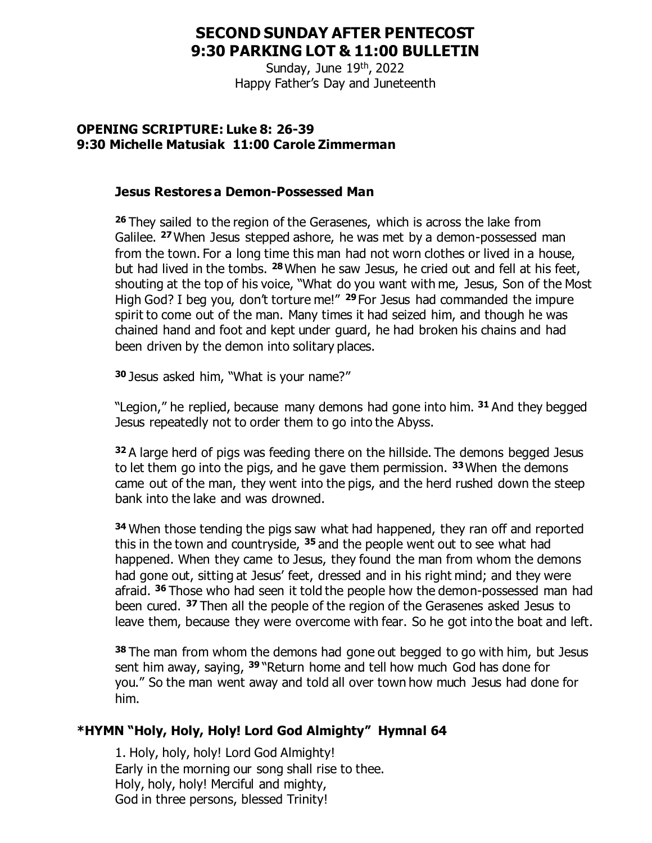# **SECOND SUNDAY AFTER PENTECOST 9:30 PARKING LOT & 11:00 BULLETIN**

Sunday, June 19<sup>th</sup>, 2022 Happy Father's Day and Juneteenth

#### **OPENING SCRIPTURE: Luke 8: 26-39 9:30 Michelle Matusiak 11:00 Carole Zimmerman**

#### **Jesus Restores a Demon-Possessed Man**

**<sup>26</sup>** They sailed to the region of the Gerasenes, which is across the lake from Galilee. **<sup>27</sup>**When Jesus stepped ashore, he was met by a demon-possessed man from the town. For a long time this man had not worn clothes or lived in a house, but had lived in the tombs. **<sup>28</sup>**When he saw Jesus, he cried out and fell at his feet, shouting at the top of his voice, "What do you want with me, Jesus, Son of the Most High God? I beg you, don't torture me!" **<sup>29</sup>** For Jesus had commanded the impure spirit to come out of the man. Many times it had seized him, and though he was chained hand and foot and kept under guard, he had broken his chains and had been driven by the demon into solitary places.

**<sup>30</sup>** Jesus asked him, "What is your name?"

"Legion," he replied, because many demons had gone into him. **<sup>31</sup>** And they begged Jesus repeatedly not to order them to go into the Abyss.

**<sup>32</sup>** A large herd of pigs was feeding there on the hillside. The demons begged Jesus to let them go into the pigs, and he gave them permission. **<sup>33</sup>**When the demons came out of the man, they went into the pigs, and the herd rushed down the steep bank into the lake and was drowned.

**<sup>34</sup>** When those tending the pigs saw what had happened, they ran off and reported this in the town and countryside, **<sup>35</sup>** and the people went out to see what had happened. When they came to Jesus, they found the man from whom the demons had gone out, sitting at Jesus' feet, dressed and in his right mind; and they were afraid. **<sup>36</sup>** Those who had seen it told the people how the demon-possessed man had been cured. **<sup>37</sup>** Then all the people of the region of the Gerasenes asked Jesus to leave them, because they were overcome with fear. So he got into the boat and left.

**<sup>38</sup>** The man from whom the demons had gone out begged to go with him, but Jesus sent him away, saying, **<sup>39</sup>** "Return home and tell how much God has done for you." So the man went away and told all over town how much Jesus had done for him.

## **\*HYMN "Holy, Holy, Holy! Lord God Almighty" Hymnal 64**

1. Holy, holy, holy! Lord God Almighty! Early in the morning our song shall rise to thee. Holy, holy, holy! Merciful and mighty, God in three persons, blessed Trinity!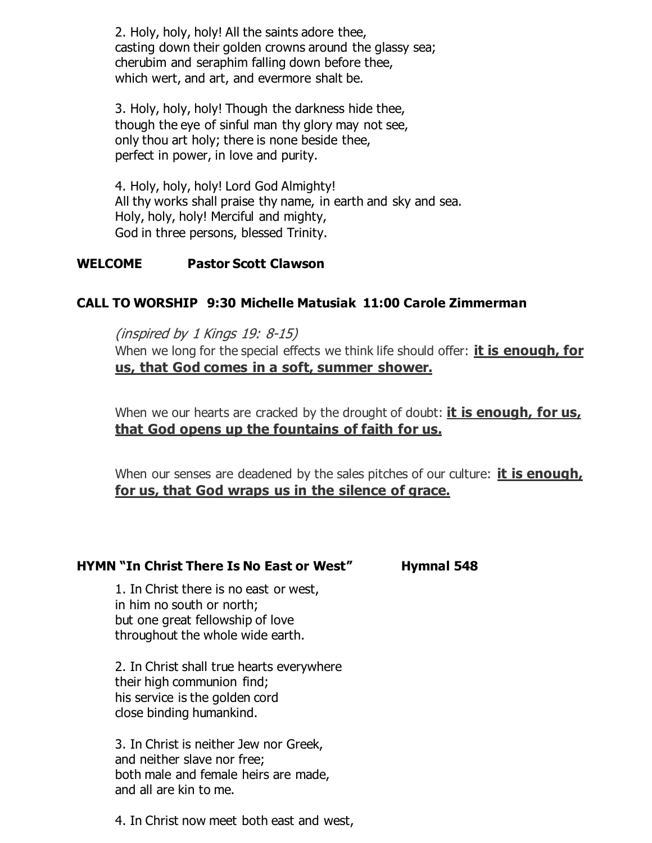2. Holy, holy, holy! All the saints adore thee, casting down their golden crowns around the glassy sea; cherubim and seraphim falling down before thee, which wert, and art, and evermore shalt be.

3. Holy, holy, holy! Though the darkness hide thee, though the eye of sinful man thy glory may not see, only thou art holy; there is none beside thee, perfect in power, in love and purity.

4. Holy, holy, holy! Lord God Almighty! All thy works shall praise thy name, in earth and sky and sea. Holy, holy, holy! Merciful and mighty, God in three persons, blessed Trinity.

#### **WELCOME Pastor Scott Clawson**

## **CALL TO WORSHIP 9:30 Michelle Matusiak 11:00 Carole Zimmerman**

(inspired by 1 Kings 19: 8-15) When we long for the special effects we think life should offer: **it is enough, for us, that God comes in a soft, summer shower.**

When we our hearts are cracked by the drought of doubt: **it is enough, for us, that God opens up the fountains of faith for us.**

When our senses are deadened by the sales pitches of our culture: **it is enough, for us, that God wraps us in the silence of grace.**

## **HYMN "In Christ There Is No East or West" Hymnal 548**

1. In Christ there is no east or west, in him no south or north; but one great fellowship of love throughout the whole wide earth.

2. In Christ shall true hearts everywhere their high communion find; his service is the golden cord close binding humankind.

3. In Christ is neither Jew nor Greek, and neither slave nor free; both male and female heirs are made, and all are kin to me.

4. In Christ now meet both east and west,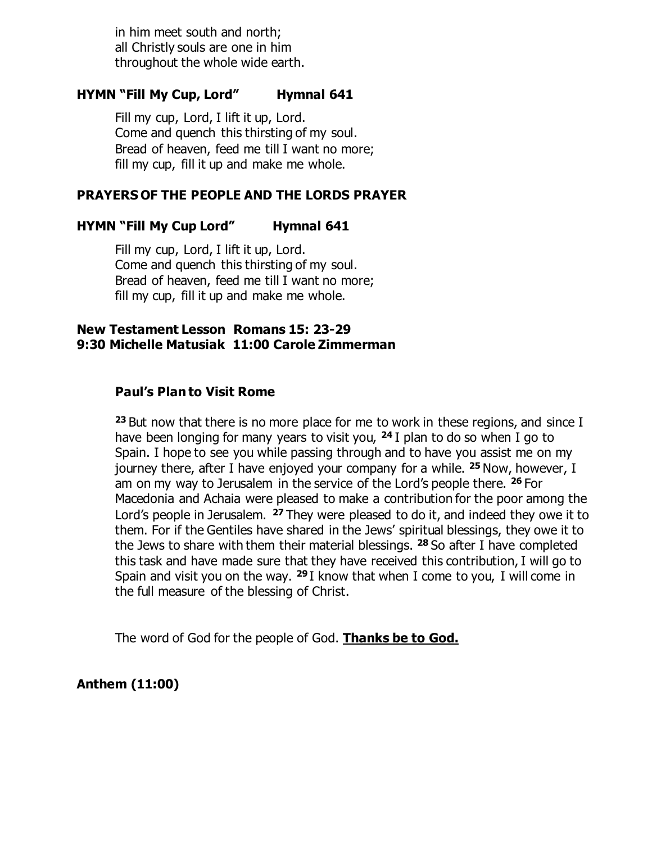in him meet south and north; all Christly souls are one in him throughout the whole wide earth.

#### **HYMN "Fill My Cup, Lord" Hymnal 641**

Fill my cup, Lord, I lift it up, Lord. Come and quench this thirsting of my soul. Bread of heaven, feed me till I want no more; fill my cup, fill it up and make me whole.

#### **PRAYERS OF THE PEOPLE AND THE LORDS PRAYER**

#### **HYMN "Fill My Cup Lord" Hymnal 641**

Fill my cup, Lord, I lift it up, Lord. Come and quench this thirsting of my soul. Bread of heaven, feed me till I want no more; fill my cup, fill it up and make me whole.

#### **New Testament Lesson Romans 15: 23-29 9:30 Michelle Matusiak 11:00 Carole Zimmerman**

#### **Paul's Plan to Visit Rome**

**<sup>23</sup>** But now that there is no more place for me to work in these regions, and since I have been longing for many years to visit you, **<sup>24</sup>** I plan to do so when I go to Spain. I hope to see you while passing through and to have you assist me on my journey there, after I have enjoyed your company for a while. **<sup>25</sup>** Now, however, I am on my way to Jerusalem in the service of the Lord's people there. **<sup>26</sup>** For Macedonia and Achaia were pleased to make a contribution for the poor among the Lord's people in Jerusalem. **<sup>27</sup>** They were pleased to do it, and indeed they owe it to them. For if the Gentiles have shared in the Jews' spiritual blessings, they owe it to the Jews to share with them their material blessings. **<sup>28</sup>** So after I have completed this task and have made sure that they have received this contribution, I will go to Spain and visit you on the way. **<sup>29</sup>** I know that when I come to you, I will come in the full measure of the blessing of Christ.

The word of God for the people of God. **Thanks be to God.** 

**Anthem (11:00)**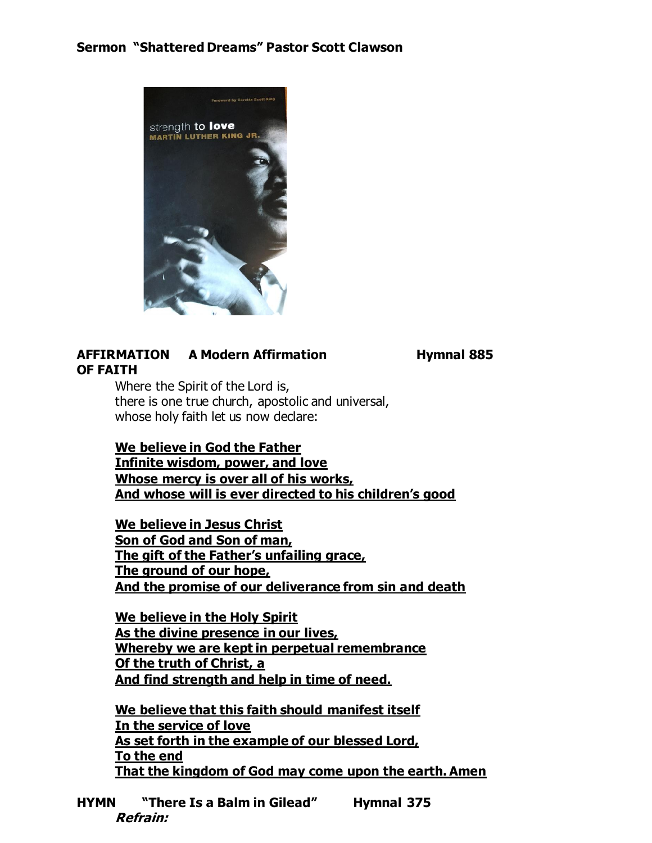## **Sermon "Shattered Dreams" Pastor Scott Clawson**



## **AFFIRMATION A Modern Affirmation Hymnal 885 OF FAITH**

Where the Spirit of the Lord is, there is one true church, apostolic and universal, whose holy faith let us now declare:

**We believe in God the Father Infinite wisdom, power, and love Whose mercy is over all of his works, And whose will is ever directed to his children's good**

**We believe in Jesus Christ Son of God and Son of man, The gift of the Father's unfailing grace, The ground of our hope, And the promise of our deliverance from sin and death**

**We believe in the Holy Spirit As the divine presence in our lives, Whereby we are kept in perpetual remembrance Of the truth of Christ, a And find strength and help in time of need.**

**We believe that this faith should manifest itself In the service of love As set forth in the example of our blessed Lord, To the end That the kingdom of God may come upon the earth. Amen**

**HYMN "There Is a Balm in Gilead" Hymnal 375 Refrain:**